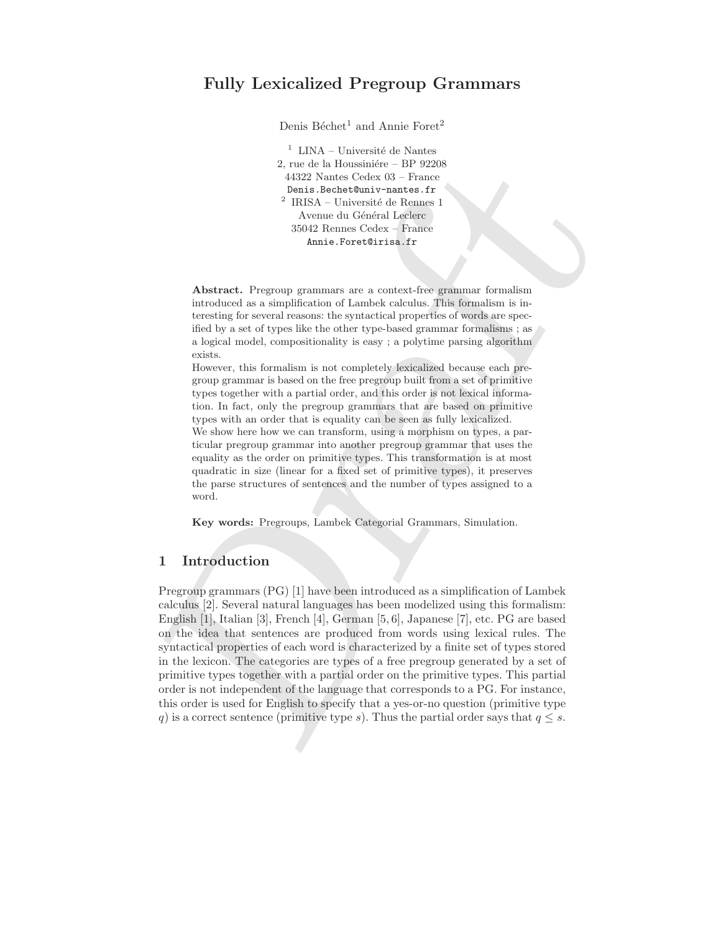# Fully Lexicalized Pregroup Grammars

Denis Béchet<sup>1</sup> and Annie Foret<sup>2</sup>

 $^{\rm 1}$ LINA – Université de Nantes 2, rue de la Houssinière – BP 92208 44322 Nantes Cedex 03 – France Denis.Bechet@univ-nantes.fr  $2$  IRISA – Université de Rennes 1 Avenue du Général Leclerc 35042 Rennes Cedex – France Annie.Foret@irisa.fr

Abstract. Pregroup grammars are a context-free grammar formalism introduced as a simplification of Lambek calculus. This formalism is interesting for several reasons: the syntactical properties of words are specified by a set of types like the other type-based grammar formalisms ; as a logical model, compositionality is easy ; a polytime parsing algorithm exists.

However, this formalism is not completely lexicalized because each pregroup grammar is based on the free pregroup built from a set of primitive types together with a partial order, and this order is not lexical information. In fact, only the pregroup grammars that are based on primitive types with an order that is equality can be seen as fully lexicalized.

We show here how we can transform, using a morphism on types, a particular pregroup grammar into another pregroup grammar that uses the equality as the order on primitive types. This transformation is at most quadratic in size (linear for a fixed set of primitive types), it preserves the parse structures of sentences and the number of types assigned to a word.

Key words: Pregroups, Lambek Categorial Grammars, Simulation.

### 1 Introduction

2, me de la Housinière. BP 92208<br>
44322 Nantes Celux 05- Prance Benit Inchristration (similar theoretical formula different lefter and the similar increases and a similar content of the similar increases and a similar ter Pregroup grammars (PG) [1] have been introduced as a simplification of Lambek calculus [2]. Several natural languages has been modelized using this formalism: English [1], Italian [3], French [4], German [5, 6], Japanese [7], etc. PG are based on the idea that sentences are produced from words using lexical rules. The syntactical properties of each word is characterized by a finite set of types stored in the lexicon. The categories are types of a free pregroup generated by a set of primitive types together with a partial order on the primitive types. This partial order is not independent of the language that corresponds to a PG. For instance, this order is used for English to specify that a yes-or-no question (primitive type q) is a correct sentence (primitive type s). Thus the partial order says that  $q \leq s$ .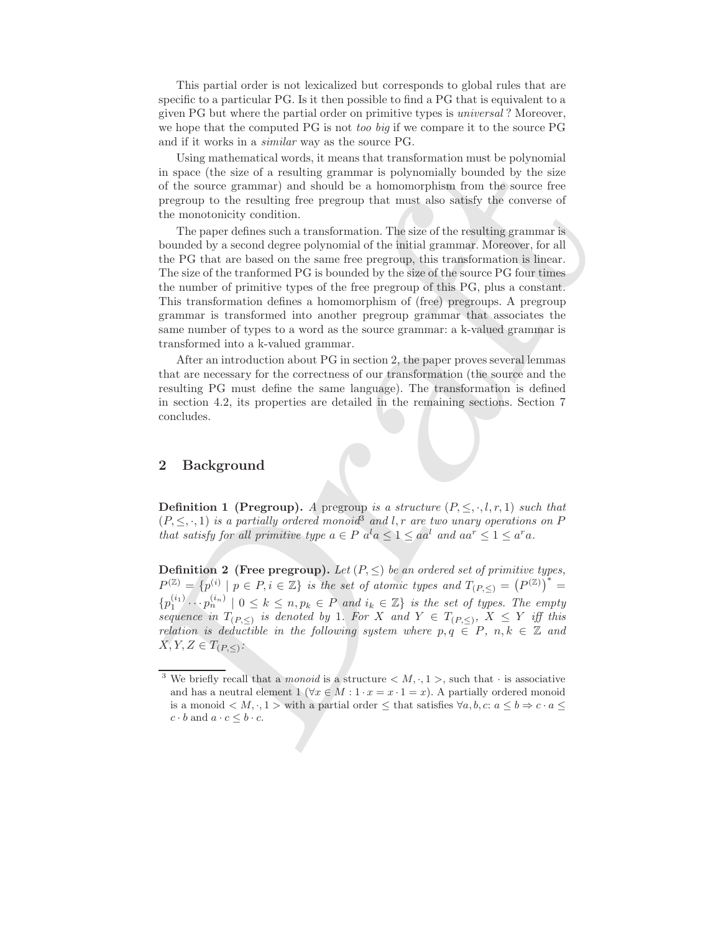This partial order is not lexicalized but corresponds to global rules that are specific to a particular PG. Is it then possible to find a PG that is equivalent to a given PG but where the partial order on primitive types is universal ? Moreover, we hope that the computed PG is not too big if we compare it to the source PG and if it works in a similar way as the source PG.

Using mathematical words, it means that transformation must be polynomial in space (the size of a resulting grammar is polynomially bounded by the size of the source grammar) and should be a homomorphism from the source free pregroup to the resulting free pregroup that must also satisfy the converse of the monotonicity condition.

Componentation vorteins and eath solution in the byparities of the size of a resulting grammar is polynomially bounded by the size<br>in space (the size of a resulting grammar is polynomially bounded by the size<br>of the solut The paper defines such a transformation. The size of the resulting grammar is bounded by a second degree polynomial of the initial grammar. Moreover, for all the PG that are based on the same free pregroup, this transformation is linear. The size of the tranformed PG is bounded by the size of the source PG four times the number of primitive types of the free pregroup of this PG, plus a constant. This transformation defines a homomorphism of (free) pregroups. A pregroup grammar is transformed into another pregroup grammar that associates the same number of types to a word as the source grammar: a k-valued grammar is transformed into a k-valued grammar.

After an introduction about PG in section 2, the paper proves several lemmas that are necessary for the correctness of our transformation (the source and the resulting PG must define the same language). The transformation is defined in section 4.2, its properties are detailed in the remaining sections. Section 7 concludes.

## 2 Background

**Definition 1 (Pregroup).** A pregroup is a structure  $(P, \leq, \cdot, l, r, 1)$  such that  $(P, \leq, \cdot, 1)$  is a partially ordered monoid<sup>3</sup> and l, r are two unary operations on P that satisfy for all primitive type  $a \in P$   $a^l a \leq 1 \leq aa^l$  and  $aa^r \leq 1 \leq a^r a$ .

**Definition 2** (Free pregroup). Let  $(P, \leq)$  be an ordered set of primitive types,  $P^{(\mathbb{Z})} = \{p^{(i)} \mid p \in P, i \in \mathbb{Z}\}\$ is the set of atomic types and  $T_{(P,\leq)} = (P^{(\mathbb{Z})})^* =$  ${p_1^{(i_1)} \cdots p_n^{(i_n)} \mid 0 \leq k \leq n, p_k \in P \text{ and } i_k \in \mathbb{Z}}$  is the set of types. The empty sequence in  $T_{(P,\leq)}$  is denoted by 1. For X and  $Y \in T_{(P,\leq)}$ ,  $X \leq Y$  iff this relation is deductible in the following system where  $p, q \in P$ ,  $n, k \in \mathbb{Z}$  and  $X, Y, Z \in T_{(P,\leq)}$ :

<sup>&</sup>lt;sup>3</sup> We briefly recall that a *monoid* is a structure  $\langle M, \cdot, 1 \rangle$ , such that  $\cdot$  is associative and has a neutral element 1 ( $\forall x \in M : 1 \cdot x = x \cdot 1 = x$ ). A partially ordered monoid is a monoid  $\langle M, \cdot, 1 \rangle$  with a partial order  $\leq$  that satisfies  $\forall a, b, c: a \leq b \Rightarrow c \cdot a \leq$  $c \cdot b$  and  $a \cdot c \leq b \cdot c$ .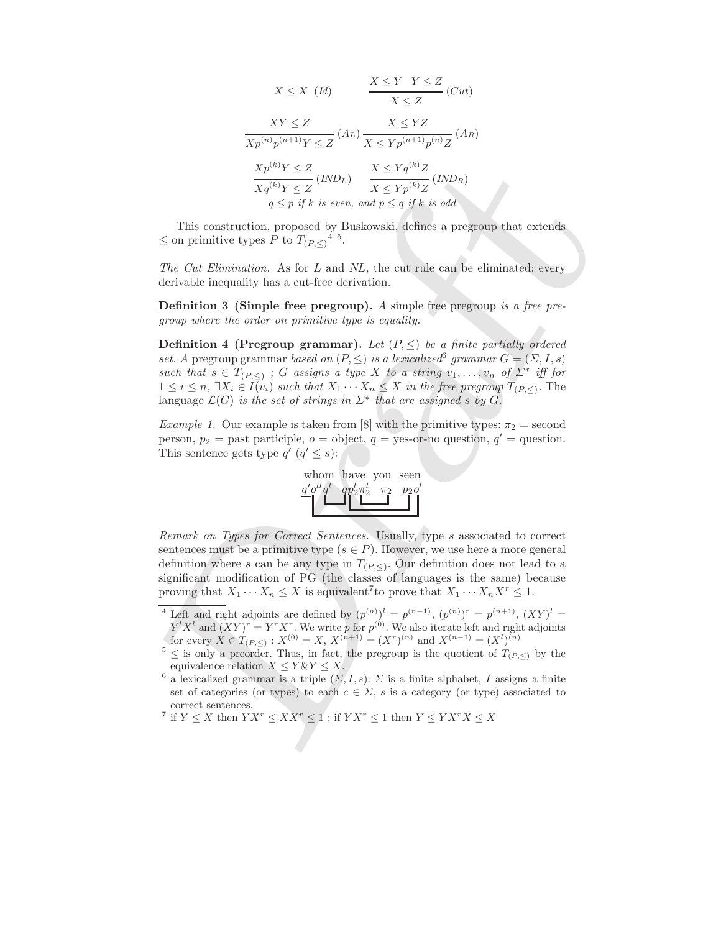$$
X \leq X \quad (Id) \qquad \frac{X \leq Y \quad Y \leq Z}{X \leq Z} \quad (Cut)
$$
\n
$$
\frac{XY \leq Z}{Xp^{(n)}p^{(n+1)}Y \leq Z} \quad (A_L) \quad \frac{X \leq YZ}{X \leq Yp^{(n+1)}p^{(n)}Z} \quad (A_R)
$$
\n
$$
\frac{Xp^{(k)}Y \leq Z}{Xq^{(k)}Y \leq Z} \quad (IND_L) \qquad \frac{X \leq Yq^{(k)}Z}{X \leq Yp^{(k)}Z} \quad (IND_R)
$$
\n
$$
q \leq p \text{ if } k \text{ is even, and } p \leq q \text{ if } k \text{ is odd}
$$

This construction, proposed by Buskowski, defines a pregroup that extends  $\leq$  on primitive types P to  $T_{(P,\leq)}^4$  5.

The Cut Elimination. As for L and NL, the cut rule can be eliminated: every derivable inequality has a cut-free derivation.

**Definition 3 (Simple free pregroup).** A simple free pregroup is a free pregroup where the order on primitive type is equality.

 $\label{eq:2.1} \frac{Yp^{(1)}Y\le Z}{Yq^{(1)}Z}(I\!N\!P), \quad \frac{X\le Yq^{(1)}Z}{Xq^{(1)}Z}(I\!N\!P),\\$  This construction, proposed by Buskowski, defines a pregroup that extends<br> $G$  on primitive type, P is a see, and<br> $p\le q$  y  $q$ . it is and  $\frac{X}{Z}=\$ **Definition 4 (Pregroup grammar).** Let  $(P, \leq)$  be a finite partially ordered set. A pregroup grammar based on  $(P, \leq)$  is a lexicalized grammar  $G = (\Sigma, I, s)$ such that  $s \in T_{(P,\leq)}$ ; G assigns a type X to a string  $v_1, \ldots, v_n$  of  $\Sigma^*$  iff for  $1 \leq i \leq n$ ,  $\exists X_i \in I(v_i)$  such that  $X_1 \cdots X_n \leq X$  in the free pregroup  $T_{(P,\leq)}$ . The language  $\mathcal{L}(G)$  is the set of strings in  $\Sigma^*$  that are assigned s by G.

*Example 1.* Our example is taken from [8] with the primitive types:  $\pi_2$  = second person,  $p_2$  = past participle,  $o =$  object,  $q$  = yes-or-no question,  $q'$  = question. This sentence gets type  $q'$   $(q' \leq s)$ :



Remark on Types for Correct Sentences. Usually, type s associated to correct sentences must be a primitive type  $(s \in P)$ . However, we use here a more general definition where s can be any type in  $T_{(P,\le)}$ . Our definition does not lead to a significant modification of PG (the classes of languages is the same) because proving that  $X_1 \cdots X_n \leq X$  is equivalent<sup>7</sup> to prove that  $X_1 \cdots X_n X^r \leq 1$ .

<sup>7</sup> if  $Y \leq X$  then  $Y X^r \leq X X^r \leq 1$ ; if  $Y X^r \leq 1$  then  $Y \leq Y X^r X \leq X$ 

<sup>&</sup>lt;sup>4</sup> Left and right adjoints are defined by  $(p^{(n)})^l = p^{(n-1)}$ ,  $(p^{(n)})^r = p^{(n+1)}$ ,  $(XY)^l =$  $Y^l X^l$  and  $(XY)^r = Y^r X^r$ . We write p for  $p^{(0)}$ . We also iterate left and right adjoints for every  $X \in T_{(P,\le)} : X^{(0)} = X, X^{(n+1)} = (X^r)^{(n)}$  and  $X^{(n-1)} = (X^l)^{(n)}$ 

 $5 \le$  is only a preorder. Thus, in fact, the pregroup is the quotient of  $T_{(P,\le)}$  by the equivalence relation  $X \le Y \& Y \le X$ .

<sup>&</sup>lt;sup>6</sup> a lexicalized grammar is a triple  $(\Sigma, I, s)$ :  $\Sigma$  is a finite alphabet, I assigns a finite set of categories (or types) to each  $c \in \Sigma$ , s is a category (or type) associated to correct sentences.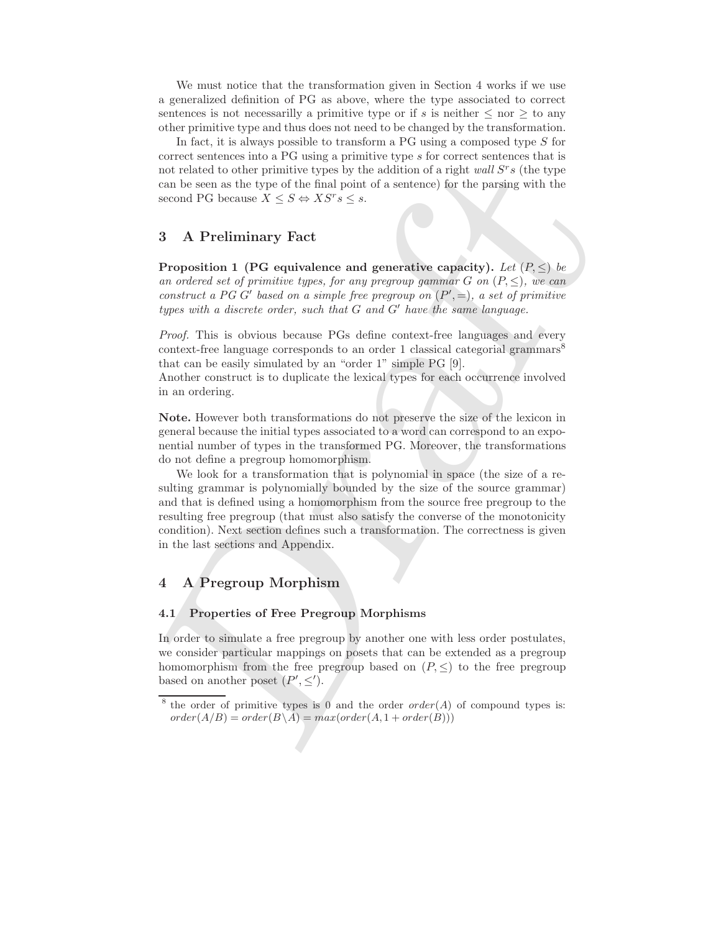We must notice that the transformation given in Section 4 works if we use a generalized definition of PG as above, where the type associated to correct sentences is not necessarilly a primitive type or if s is neither  $\leq$  nor  $\geq$  to any other primitive type and thus does not need to be changed by the transformation.

In fact, it is always possible to transform a  $PG$  using a composed type  $S$  for correct sentences into a PG using a primitive type s for correct sentences that is not related to other primitive types by the addition of a right  $wall S<sup>r</sup> s$  (the type can be seen as the type of the final point of a sentence) for the parsing with the second PG because  $X \leq S \Leftrightarrow X S^r s \leq s$ .

## 3 A Preliminary Fact

Proposition 1 (PG equivalence and generative capacity). Let  $(P, \leq)$  be an ordered set of primitive types, for any pregroup gammar G on  $(P, \leq)$ , we can construct a PG G' based on a simple free pregroup on  $(P', =)$ , a set of primitive types with a discrete order, such that G and G′ have the same language.

Proof. This is obvious because PGs define context-free languages and every context-free language corresponds to an order 1 classical categorial grammars<sup>8</sup> that can be easily simulated by an "order 1" simple PG [9].

Another construct is to duplicate the lexical types for each occurrence involved in an ordering.

Note. However both transformations do not preserve the size of the lexicon in general because the initial types associated to a word can correspond to an exponential number of types in the transformed PG. Moreover, the transformations do not define a pregroup homomorphism.

nor related to other primitive types by the addition of a right and  $S^*s$  (the type once the line of the final pair of a stationer) for the practice scenario of C because  $X \leq S \Leftrightarrow XS^*s \leq s$ .<br>
scenario FC because  $X \leq$ We look for a transformation that is polynomial in space (the size of a resulting grammar is polynomially bounded by the size of the source grammar) and that is defined using a homomorphism from the source free pregroup to the resulting free pregroup (that must also satisfy the converse of the monotonicity condition). Next section defines such a transformation. The correctness is given in the last sections and Appendix.

### 4 A Pregroup Morphism

### 4.1 Properties of Free Pregroup Morphisms

In order to simulate a free pregroup by another one with less order postulates, we consider particular mappings on posets that can be extended as a pregroup homomorphism from the free pregroup based on  $(P, \leq)$  to the free pregroup based on another poset  $(P', \leq').$ 

<sup>&</sup>lt;sup>8</sup> the order of primitive types is 0 and the order  $order(A)$  of compound types is:  $order(A/B) = order(B \setminus A) = max(order(A, 1 + order(B)))$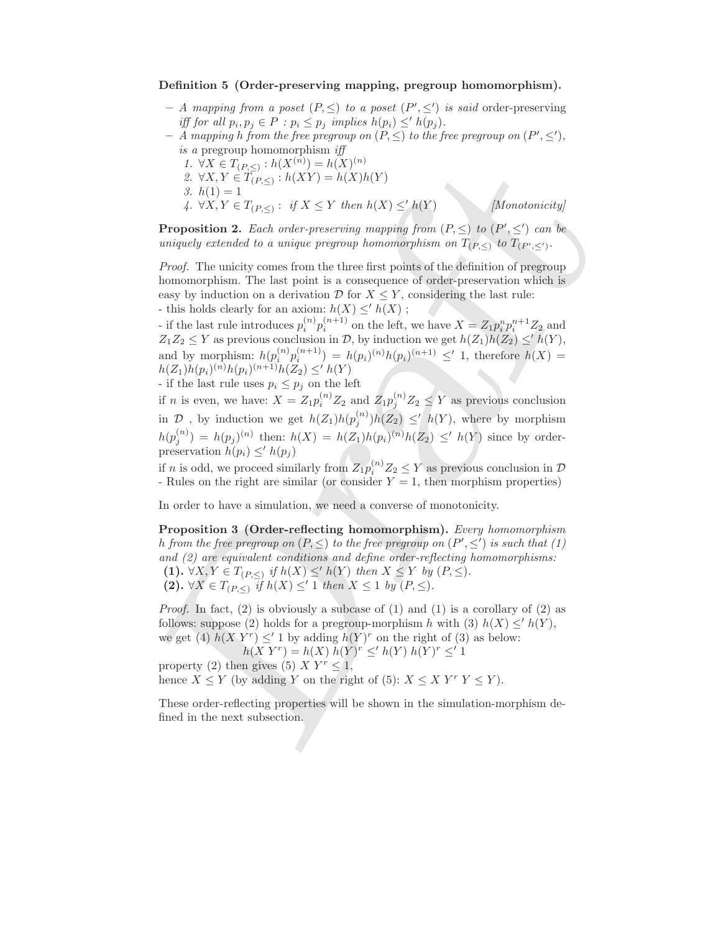#### Definition 5 (Order-preserving mapping, pregroup homomorphism).

- A mapping from a poset  $(P, \leq)$  to a poset  $(P', \leq')$  is said order-preserving iff for all  $p_i, p_j \in P : p_i \leq p_j$  implies  $h(p_i) \leq^{\prime} h(p_j)$ .
- $-$  A mapping h from the free pregroup on  $(P, \leq)$  to the free pregroup on  $(P', \leq')$ , is a pregroup homomorphism iff
	- 1.  $\forall X \in T_{(P,\leq)} : h(X^{(n)}) = h(X)^{(n)}$
	- 2.  $\forall X, Y \in T_{(P, \leq)} : h(XY) = h(X)h(Y)$
	- 3.  $h(1) = 1$

4.  $\forall X, Y \in T_{(P, \leq)} : \text{ if } X \leq Y \text{ then } h(X) \leq^{\prime} h(Y)$  [Monotonicity]

**Proposition 2.** Each order-preserving mapping from  $(P, \leq)$  to  $(P', \leq')$  can be uniquely extended to a unique pregroup homomorphism on  $T_{(P,\leq)}$  to  $T_{(P',\leq')}$ .

Proof. The unicity comes from the three first points of the definition of pregroup homomorphism. The last point is a consequence of order-preservation which is easy by induction on a derivation  $\mathcal{D}$  for  $X \leq Y$ , considering the last rule: - this holds clearly for an axiom:  $h(X) \leq h(X)$ ;

- if the last rule introduces  $p_i^{(n)} p_i^{(n+1)}$  on the left, we have  $X = Z_1 p_i^n p_i^{n+1} Z_2$  and  $Z_1Z_2 \leq Y$  as previous conclusion in  $\mathcal{D}$ , by induction we get  $h(Z_1)h(Z_2) \leq h(Y)$ , and by morphism:  $h(p_i^{(n)}p_i^{(n+1)}) = h(p_i)^{(n)}h(p_i)^{(n+1)} \leq' 1$ , therefore  $h(X) =$  $h(Z_1)h(p_i)^{(n)}h(p_i)^{(n+1)}h(Z_2) \leq^{\prime} h(Y)$ - if the last rule uses  $p_i \leq p_j$  on the left

if *n* is even, we have:  $X = Z_1 p_i^{(n)} Z_2$  and  $Z_1 p_j^{(n)} Z_2 \le Y$  as previous conclusion in  $\mathcal D$ , by induction we get  $h(Z_1)h(p_j^{(n)})h(Z_2) \leq h(Y)$ , where by morphism  $h(p_j^{(n)}) = h(p_j)^{(n)}$  then:  $h(X) = h(Z_1)h(p_i)^{(n)}h(Z_2) \le h(Y)$  since by orderpreservation  $h(p_i) \leq h(p_i)$ 

if *n* is odd, we proceed similarly from  $Z_1 p_i^{(n)} Z_2 \le Y$  as previous conclusion in  $D$ - Rules on the right are similar (or consider  $Y = 1$ , then morphism properties)

In order to have a simulation, we need a converse of monotonicity.

 $L(X \times T(T_{P,S}) : h(X^{*(n)}) = h(X)h(Y)$ <br>
2.  $\forall X, Y \in I_{(P,S)} : i(X \ge Y$  then  $h(X) \le h(Y)$ <br>
3.  $\forall X, Y \in T_{(P,S)} : i \forall X \le Y$  then  $h(X) \le h(Y)$ <br>
4.  $\forall X, Y \in T_{(P,S)} : i \forall X \le Y$  then  $h(X) \le h(Y)$ <br>
4.  $\forall X, Y \in T_{(P,S)} : i \forall X \le Y$  then  $h(X) \le h(Y)$ <br>
4.  $\forall X, Y \in T_{(P,S)} : i$ Proposition 3 (Order-reflecting homomorphism). Every homomorphism h from the free pregroup on  $(P, \leq)$  to the free pregroup on  $(P', \leq')$  is such that (1) and (2) are equivalent conditions and define order-reflecting homomorphisms: (1).  $\forall X, Y \in T_{(P, \leq)}$  if  $h(X) \leq^{\prime} h(Y)$  then  $X \leq Y$  by  $(P, \leq)$ . (2).  $\forall X \in T_{(P,\leq)}$  if  $h(X) \leq' 1$  then  $X \leq 1$  by  $(P,\leq)$ .

*Proof.* In fact, (2) is obviously a subcase of (1) and (1) is a corollary of (2) as follows: suppose (2) holds for a pregroup-morphism h with (3)  $h(X) \leq h(Y)$ , we get (4)  $h(X Y^r) \leq' 1$  by adding  $h(Y)^r$  on the right of (3) as below:

 $h(X Y^r) = h(X) h(Y)^r \leq^{\prime} h(Y) h(Y)^r \leq^{\prime} 1$ property (2) then gives (5)  $X Y^r \leq 1$ , hence  $X \leq Y$  (by adding Y on the right of (5):  $X \leq X$   $Y^r$   $Y \leq Y$ ).

These order-reflecting properties will be shown in the simulation-morphism defined in the next subsection.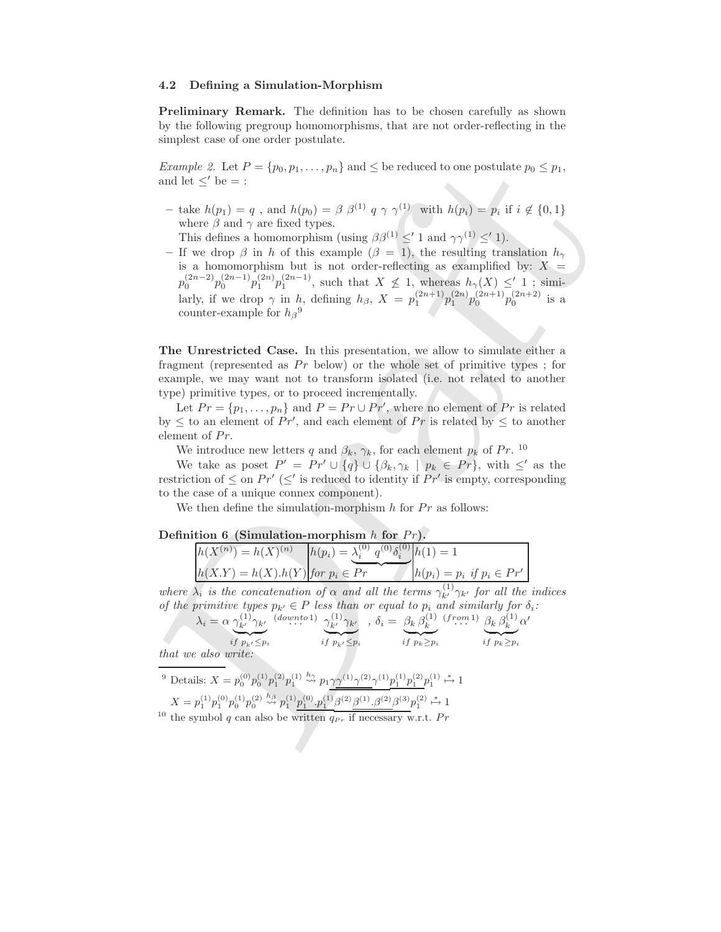#### 4.2 Defining a Simulation-Morphism

Preliminary Remark. The definition has to be chosen carefully as shown by the following pregroup homomorphisms, that are not order-reflecting in the simplest case of one order postulate.

Example 2. Let  $P = \{p_0, p_1, \ldots, p_n\}$  and  $\leq$  be reduced to one postulate  $p_0 \leq p_1$ , and let  $\lt'$  be  $=$  :

– take  $h(p_1) = q$ , and  $h(p_0) = \beta \beta^{(1)} q \gamma \gamma^{(1)}$  with  $h(p_i) = p_i$  if  $i \notin \{0,1\}$ where  $\beta$  and  $\gamma$  are fixed types.

This defines a homomorphism (using  $\beta\beta^{(1)} \leq' 1$  and  $\gamma\gamma^{(1)} \leq' 1$ ).

*Example* 2. Let  $P = \{p_0, p_1, \ldots, p_n\}$  and  $\leq$  be welonged to one postulate  $p_0 \leq p_1$ ,<br>und let  $\leq$  be  $k(p_1) = q$ , and  $h(p_0) = \beta$   $\beta^{(1)}$   $q \gamma \gamma^{(1)}$  with  $h(p_1) = p$ , if  $i \notin \{0, 1\}$ <br>where  $\beta$  and  $\gamma$  or fittios t – If we drop  $\beta$  in h of this example  $(\beta = 1)$ , the resulting translation  $h_{\gamma}$ is a homomorphism but is not order-reflecting as examplified by:  $X =$  $p_0^{(2n-2)}p_0^{(2n-1)}p_1^{(2n)}p_1^{(2n-1)}$ , such that  $X \not\leq 1$ , whereas  $h_\gamma(X) \leq' 1$ ; similarly, if we drop  $\gamma$  in h, defining  $h_{\beta}$ ,  $X = p_1^{(2n+1)} p_1^{(2n)} p_0^{(2n+1)} p_0^{(2n+2)}$  is a counter-example for  $h_{\beta}^{9}$ 

The Unrestricted Case. In this presentation, we allow to simulate either a fragment (represented as  $Pr$  below) or the whole set of primitive types; for example, we may want not to transform isolated (i.e. not related to another type) primitive types, or to proceed incrementally.

Let  $Pr = \{p_1, \ldots, p_n\}$  and  $P = Pr \cup Pr'$ , where no element of  $Pr$  is related by  $\leq$  to an element of Pr', and each element of Pr is related by  $\leq$  to another element of  $Pr$ .

We introduce new letters q and  $\beta_k$ ,  $\gamma_k$ , for each element  $p_k$  of Pr. <sup>10</sup>

We take as poset  $P' = Pr' \cup \{q\} \cup \{\beta_k, \gamma_k \mid p_k \in Pr\}$ , with  $\leq'$  as the restriction of  $\leq$  on  $Pr'(\leq')$  is reduced to identity if  $Pr'$  is empty, corresponding to the case of a unique connex component).

We then define the simulation-morphism  $h$  for  $Pr$  as follows:

#### Definition 6 (Simulation-morphism  $h$  for  $Pr$ ).

| $h(X,Y) = h(X) \cdot h(Y)$ for $p_i \in Pr$<br>$h(p_i) = p_i$ if $p_i \in Pr'$ | $h(X^{(n)}) = h(X)^{(n)}$ | $h(p_i) = \lambda_i^{(0)} q^{(0)} \delta_i^{(0)} h(1) = 1$ |  |
|--------------------------------------------------------------------------------|---------------------------|------------------------------------------------------------|--|
|                                                                                |                           |                                                            |  |

where  $\lambda_i$  is the concatenation of  $\alpha$  and all the terms  $\gamma_{k'}^{(1)}\gamma_{k'}$  for all the indices of the primitive types  $p_{k'} \in P$  less than or equal to  $p_i$  and similarly for  $\delta_i$ :

′

$$
\lambda_i = \alpha \underbrace{\gamma_{k'}^{(1)} \gamma_{k'}}_{i f \ p_{k'} \leq p_i} \underbrace{(\text{down to 1})}_{i f \ p_{k'} \leq p_i} \underbrace{\gamma_{k'}^{(1)} \gamma_{k'}}_{i f \ p_{k'} \leq p_i}, \quad \delta_i = \underbrace{\beta_k \beta_k^{(1)}}_{i f \ p_k \geq p_i} \underbrace{(\text{from 1})}_{i f \ p_k \geq p_i} \underbrace{\beta_k \beta_k^{(1)}}_{i f \ p_k \geq p_i} \alpha
$$

that we also write:

<sup>9</sup> Details: 
$$
X = p_0^{(0)} p_0^{(1)} p_1^{(2)} p_1^{(1)} \stackrel{h_2}{\leadsto} p_1 \gamma \gamma^{(1)} \gamma^{(2)} \gamma^{(1)} p_1^{(1)} p_1^{(2)} p_1^{(1)} \stackrel{*}{\mapsto} 1
$$
  
\n $X = p_1^{(1)} p_1^{(0)} p_0^{(1)} p_0^{(2)} \stackrel{h_3}{\leadsto} p_1^{(1)} \underline{p_1^{(0)} \cdot p_1^{(1)}} \underline{\beta^{(2)} \beta^{(1)} \cdot \beta^{(2)}} \beta^{(3)} p_1^{(2)} \stackrel{*}{\mapsto} 1$   
\n<sup>10</sup> the symbol  $q$  can also be written  $q_{Pr}$  if necessary w.r.t.  $Pr$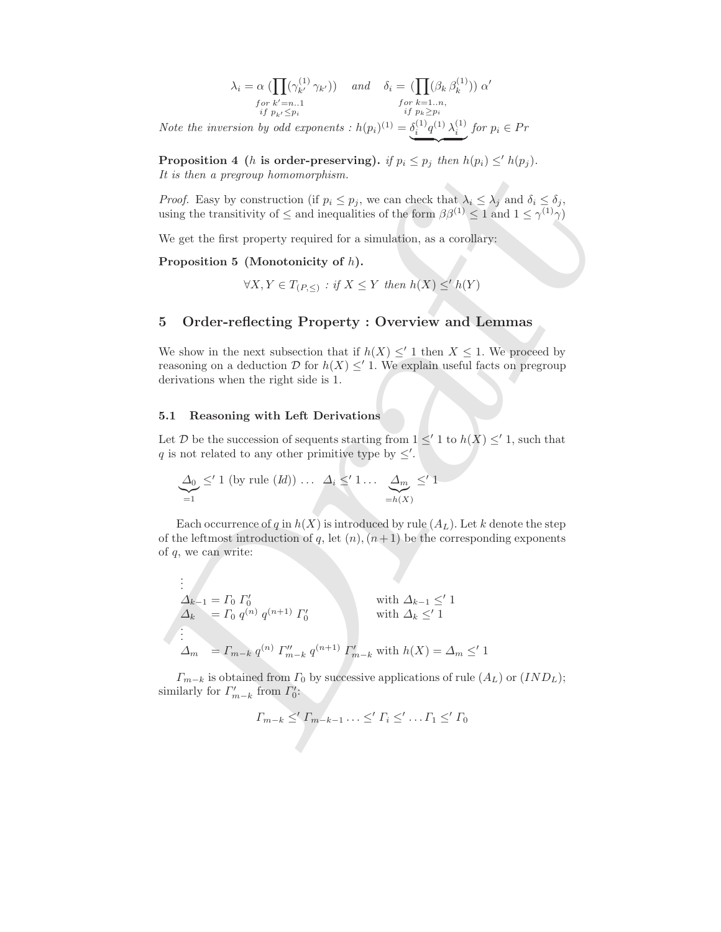$$
\lambda_i = \alpha \left( \prod_{k'} (\gamma_{k'}^{(1)} \gamma_{k'}) \right) \quad \text{and} \quad \delta_i = \left( \prod_{k'} (\beta_k \beta_k^{(1)}) \right) \alpha'
$$
\n
$$
\text{for } k' = n..1 \quad \text{for } k = 1..n, \quad \text{if } p_{k'} \leq p_i \quad \text{if } p_k \geq p_i \quad \text{if } p_k \geq p_i \quad \text{if } p_k \geq p_i \quad \text{if } p_k \geq p_i \quad \text{if } p_k \geq p_i \quad \text{if } p_k \geq p_i \quad \text{if } p_k \geq p_i \quad \text{if } p_k \geq p_i \quad \text{if } p_k \geq p_i \quad \text{if } p_k \geq p_i \quad \text{if } p_k \geq p_i \quad \text{if } p_k \geq p_i \quad \text{if } p_k \geq p_i \quad \text{if } p_k \geq p_i \quad \text{if } p_k \geq p_i \quad \text{if } p_k \geq p_i \quad \text{if } p_k \geq p_i \quad \text{if } p_k \geq p_i \quad \text{if } p_k \geq p_i \quad \text{if } p_k \geq p_i \quad \text{if } p_k \geq p_i \quad \text{if } p_k \geq p_i \quad \text{if } p_k \geq p_i \quad \text{if } p_k \geq p_i \quad \text{if } p_k \geq p_i \quad \text{if } p_k \geq p_i \quad \text{if } p_k \geq p_i \quad \text{if } p_k \geq p_i \quad \text{if } p_k \geq p_i \quad \text{if } p_k \geq p_i \quad \text{if } p_k \geq p_i \quad \text{if } p_k \geq p_i \quad \text{if } p_k \geq p_i \quad \text{if } p_k \geq p_i \quad \text{if } p_k \geq p_i \quad \text{if } p_k \geq p_i \quad \text{if } p_k \geq p_i \quad \text{if } p_k \geq p_i \quad \text{if } p_k \geq p_i \quad \text{if } p_k \geq p_i \quad \text{if } p_k \geq p_i \quad \text{if } p_k \geq p_i \quad \text{if } p_k \geq p_i \quad \text{if } p_k \geq p_i \quad \text{if } p_k \geq p_i \quad \text{if } p_k \geq p
$$

Note the inversion by odd exponents :  $h(p_i)^{(1)} = \delta_i^{(1)} q^{(1)} \lambda_i^{(1)}$  for  $p_i \in Pr$  $\longrightarrow$ 

**Proposition 4** (*h* is order-preserving). if  $p_i \leq p_j$  then  $h(p_i) \leq^{\prime} h(p_j)$ . It is then a pregroup homomorphism.

*Proof.* Easy by construction (if  $p_i \leq p_j$ , we can check that  $\lambda_i \leq \lambda_j$  and  $\delta_i \leq \delta_j$ , using the transitivity of  $\leq$  and inequalities of the form  $\beta\beta^{(1)} \leq 1$  and  $1 \leq \gamma^{(1)}\gamma$ )

We get the first property required for a simulation, as a corollary:

Proposition 5 (Monotonicity of h).

$$
\forall X, Y \in T_{(P, \leq)} : \text{if } X \leq Y \text{ then } h(X) \leq^{\prime} h(Y)
$$

### 5 Order-reflecting Property : Overview and Lemmas

We show in the next subsection that if  $h(X) \leq' 1$  then  $X \leq 1$ . We proceed by reasoning on a deduction D for  $h(X) \leq' 1$ . We explain useful facts on pregroup derivations when the right side is 1.

#### 5.1 Reasoning with Left Derivations

.

Let D be the succession of sequents starting from  $1 \leq' 1$  to  $h(X) \leq' 1$ , such that q is not related to any other primitive type by  $\leq'$ .

$$
\underbrace{\Delta_0}_{=1} \leq' 1 \text{ (by rule } (Id)) \dots \underbrace{\Delta_i} \leq' 1 \dots \underbrace{\Delta_m} \leq' 1
$$

Each occurrence of q in  $h(X)$  is introduced by rule  $(A_L)$ . Let k denote the step of the leftmost introduction of q, let  $(n)$ ,  $(n+1)$  be the corresponding exponents of q, we can write:

**Proposition 4** (*h* is order-preserving). if 
$$
p_i \leq p_j
$$
 then  $h(p_i) \leq h(p_j)$ .  
\n*It is then a pregroup homomorphism.*  
\n*Proof.* Easy by construction (if  $p_i \leq p_j$ , we can check that  $\lambda_i \leq \lambda_j$  and  $\delta_i \leq \delta_j$ , using the transitivity of  $\leq$  and inequalities of the form  $\beta \beta^{(1)} \leq 1$  and  $1 \leq \gamma^{(1)} \gamma$ )  
\nWe get the first property required for a simulation, as a corollary:  
\n**Proposition 5** (Monotonicity of *h*).  
\n $\forall X, Y \in T_{(P,\leq)} : \forall X \leq Y \text{ then } h(X) \leq h(Y)$   
\n**5 Order-reflecting Property : Overview and Lemmas**  
\nWe show in the next subsection that if  $h(X) \leq 1$  then  $X \leq 1$ . We proceed by  
\nreasoning on a deduction *D* for  $h(X) \leq 1$ . We explain useful facts on pregroup  
\nderivations when the right side is 1.  
\n**5.1 Reasoning with Left Derivations**  
\nLet *D* be the succession of sequences starting from  $1 \leq 1$  to  $h(X) \leq 1$ , such that  
\n*q* is not related to any other primitive type by  $\leq$ .  
\n
$$
\frac{\Delta_0}{=1} \leq 1
$$
 (by rule (*Id*))....  $\Delta_i \leq 1$ .... 
$$
\frac{\Delta_m}{=h(X)}
$$
  
\nEach occurrence of *q* in *h(X)* is introduced by rule (*A<sub>L</sub>*). Let *k* denote the step  
\nof the leftmost introduction of *q*, let (*n*), (*n*+1) be the corresponding exponents  
\nof *q*, we can write:  
\n
$$
\vdots
$$
  
\n
$$
\Delta_{k-1} = \Gamma_0 \Gamma_0'
$$
  
\nwith  $\Delta_{k-1} \leq 1$   
\n
$$
\Delta_{k} = \Gamma_0 q^{(n)} q^{(n+1)} \Gamma_0'
$$
  
\nwith  $\Delta_{k-1} \leq 1$   
\n<math display="</b>

 $\Gamma_{m-k}$  is obtained from  $\Gamma_0$  by successive applications of rule  $(A_L)$  or  $(IND_L);$ similarly for  $\Gamma'_{m-k}$  from  $\Gamma'_0$ :

$$
\Gamma_{m-k} \leq' \Gamma_{m-k-1} \ldots \leq' \Gamma_i \leq' \ldots \Gamma_1 \leq' \Gamma_0
$$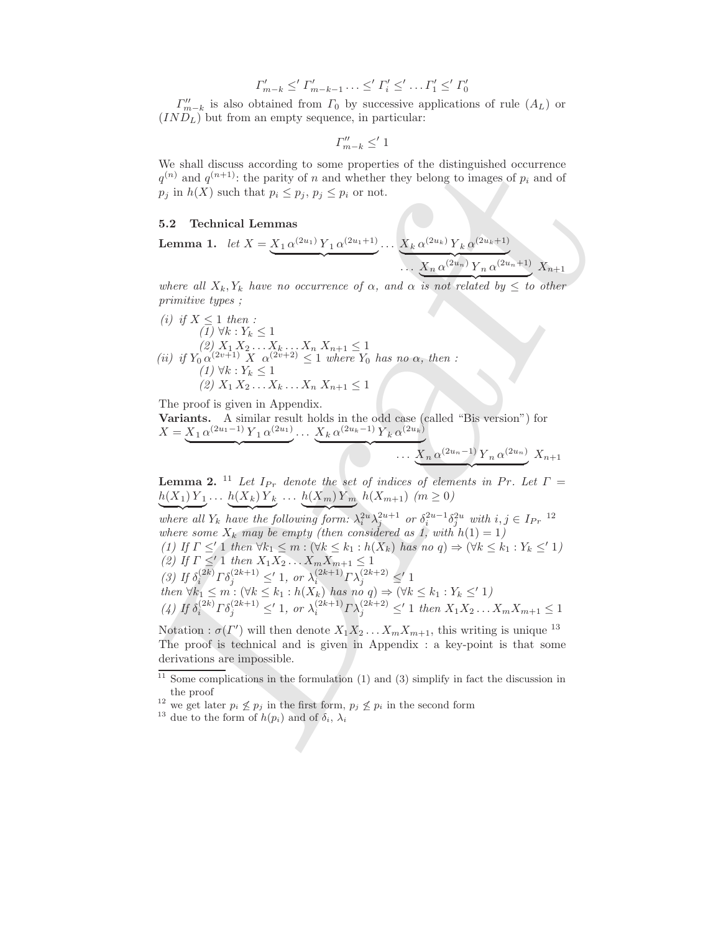$$
\Gamma'_{m-k} \leq' \Gamma'_{m-k-1} \ldots \leq' \Gamma'_{i} \leq' \ldots \Gamma'_{1} \leq' \Gamma'_{0}
$$

 $\Gamma''_{m-k}$  is also obtained from  $\Gamma_0$  by successive applications of rule  $(A_L)$  or  $(IND<sub>L</sub>)$  but from an empty sequence, in particular:

$$
\varGamma''_{m-k}\leq' 1
$$

We shall discuss according to some properties of the distinguished occurrence  $q^{(n)}$  and  $q^{(n+1)}$ : the parity of n and whether they belong to images of  $p_i$  and of  $p_j$  in  $h(X)$  such that  $p_i \leq p_j, p_j \leq p_i$  or not.

#### 5.2 Technical Lemmas

**Lemma 1.** let 
$$
X = \underbrace{X_1 \alpha^{(2u_1)} Y_1 \alpha^{(2u_1+1)}} \cdots \underbrace{X_k \alpha^{(2u_k)} Y_k \alpha^{(2u_k+1)}} \cdots \underbrace{X_n \alpha^{(2u_n)} Y_n \alpha^{(2u_n+1)}} \cdot X_{n+1}
$$

where all  $X_k, Y_k$  have no occurrence of  $\alpha$ , and  $\alpha$  is not related by  $\leq$  to other primitive types ;

\n- (i) if 
$$
X \leq 1
$$
 then :
\n- (1) ∀k :  $Y_k \leq 1$
\n- (2)  $X_1 X_2 \ldots X_k \ldots X_n X_{n+1} \leq 1$
\n- (ii) if  $Y_0 \alpha^{(2v+1)} X \alpha^{(2v+2)} \leq 1$  where  $Y_0$  has no  $\alpha$ , then :
\n- (1) ∀k :  $Y_k \leq 1$
\n- (2)  $X_1 X_2 \ldots X_k \ldots X_n X_{n+1} \leq 1$
\n

The proof is given in Appendix.

Variants. A similar result holds in the odd case (called "Bis version") for  $X = X_1 \alpha^{(2u_1 - 1)} Y_1 \alpha^{(2u_1)} \dots X_k \alpha^{(2u_k - 1)} Y_k \alpha^{(2u_k)}$  $\overbrace{\hspace{2.5cm}}^{x }$  $\overbrace{\hspace{2.5cm}}^{x}$ 

$$
\cdots \underbrace{X_n \,\alpha^{(2u_n-1)} Y_n \,\alpha^{(2u_n)}} X_{n+1}
$$

**Lemma 2.** <sup>11</sup> Let  $I_{Pr}$  denote the set of indices of elements in Pr. Let  $\Gamma$  =  $h(X_1) Y_1 ... h(X_k) Y_k ... h(X_m) Y_m h(X_{m+1})$  ( $m \ge 0$ )

We shall discuss a<br>coording to some properties of the disimplished cocorrence of<br> $\mu_j$  and  $\eta_j^{(n+1)}$ ; the parity of  $n$  and whether they belong to images of  $p_i$  and of<br> $p_j$  in  $h(X)$  such that  $p_i \leq p_j, p_j \leq p_i$  or not.<br> where all  $Y_k$  have the following form:  $\lambda_i^{2u}\lambda_j^{2u+1}$  or  $\delta_i^{2u-1}\delta_j^{2u}$  with  $i, j \in I_{Pr}$  12 where some  $X_k$  may be empty (then considered as 1, with  $h(1) = 1$ ) (1) If  $\Gamma \leq' 1$  then  $\forall k_1 \leq m : (\forall k \leq k_1 : h(X_k)$  has no  $q) \Rightarrow (\forall k \leq k_1 : Y_k \leq' 1)$ (2) If  $\Gamma \leq' 1$  then  $X_1 X_2 ... X_m X_{m+1} \leq 1$ (3) If  $\delta_i^{(2k)} \Gamma \delta_j^{(2k+1)} \leq 1$ , or  $\lambda_i^{(2k+1)} \Gamma \lambda_j^{(2k+2)} \leq 1$ then  $\forall k_1 \leq m : (\forall k \leq k_1 : h(X_k)$  has no  $q) \Rightarrow (\forall k \leq k_1 : Y_k \leq' 1)$ (4) If  $\delta_i^{(2k)} \Gamma \delta_j^{(2k+1)} \leq 1$ , or  $\lambda_i^{(2k+1)} \Gamma \lambda_j^{(2k+2)} \leq 1$  then  $X_1 X_2 ... X_m X_{m+1} \leq 1$ 

Notation :  $\sigma(\Gamma')$  will then denote  $X_1 X_2 \ldots X_m X_{m+1}$ , this writing is unique <sup>13</sup> The proof is technical and is given in Appendix : a key-point is that some derivations are impossible.

 $11$  Some complications in the formulation (1) and (3) simplify in fact the discussion in the proof

<sup>&</sup>lt;sup>12</sup> we get later  $p_i \nleq p_j$  in the first form,  $p_j \nleq p_i$  in the second form

<sup>&</sup>lt;sup>13</sup> due to the form of  $h(p_i)$  and of  $\delta_i$ ,  $\lambda_i$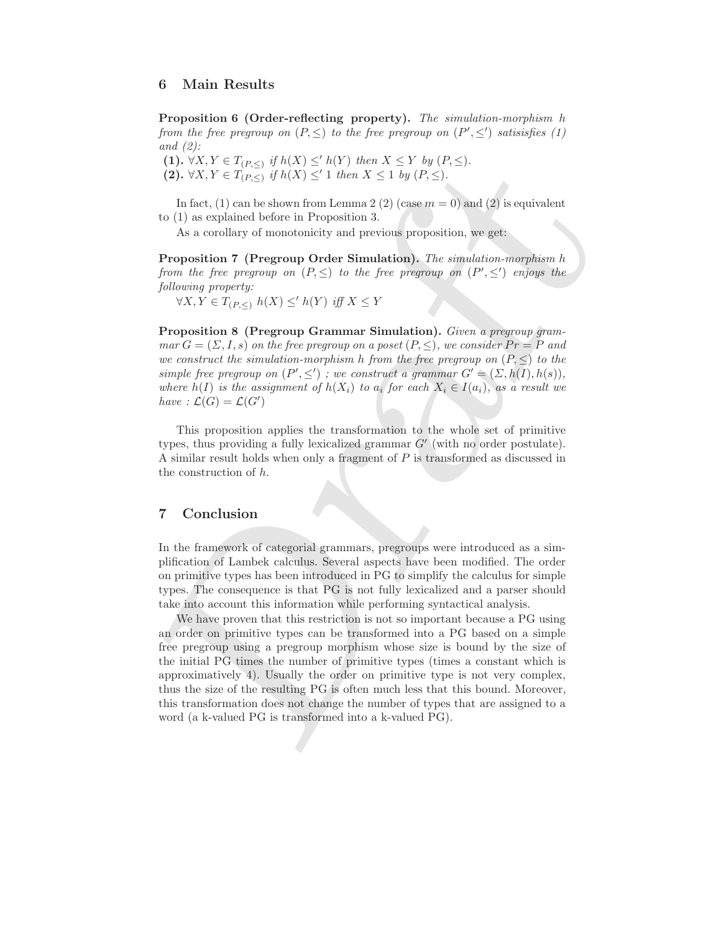### 6 Main Results

Proposition 6 (Order-reflecting property). The simulation-morphism h from the free pregroup on  $(P, \leq)$  to the free pregroup on  $(P', \leq')$  satisisfies (1) and  $(2)$ :

(1).  $\forall X, Y \in T_{(P, \leq)}$  if  $h(X) \leq^{\prime} h(Y)$  then  $X \leq Y$  by  $(P, \leq)$ . (2).  $\forall X, Y \in T_{(P, \leq)}$  if  $h(X) \leq' 1$  then  $X \leq 1$  by  $(P, \leq)$ .

In fact, (1) can be shown from Lemma 2 (2) (case  $m = 0$ ) and (2) is equivalent to (1) as explained before in Proposition 3.

As a corollary of monotonicity and previous proposition, we get:

Proposition 7 (Pregroup Order Simulation). The simulation-morphism h from the free pregroup on  $(P, \leq)$  to the free pregroup on  $(P', \leq')$  enjoys the following property:

 $\forall X, Y \in T_{(P,<)} h(X) \leq h(Y)$  iff  $X \leq Y$ 

Proposition 8 (Pregroup Grammar Simulation). Given a pregroup grammar  $G = (\Sigma, I, s)$  on the free pregroup on a poset  $(P, \leq),$  we consider  $Pr = P$  and we construct the simulation-morphism h from the free pregroup on  $(P, \leq)$  to the simple free pregroup on  $(P', \leq')$ ; we construct a grammar  $G' = (\Sigma, h(I), h(s)),$ where  $h(I)$  is the assignment of  $h(X_i)$  to  $a_i$  for each  $X_i \in I(a_i)$ , as a result we have :  $\mathcal{L}(G) = \mathcal{L}(G')$ 

This proposition applies the transformation to the whole set of primitive types, thus providing a fully lexicalized grammar  $G'$  (with no order postulate). A similar result holds when only a fragment of P is transformed as discussed in the construction of h.

### 7 Conclusion

In the framework of categorial grammars, pregroups were introduced as a simplification of Lambek calculus. Several aspects have been modified. The order on primitive types has been introduced in PG to simplify the calculus for simple types. The consequence is that PG is not fully lexicalized and a parser should take into account this information while performing syntactical analysis.

(1), VA,  $Y \in C_{LPS, \leq 1}$   $H(X) \leq h(X) \leq h(Y)$  then  $X \leq Y$  by  $(P, \leq)$ .<br>
(2), VA,  $Y \in T_{(P, \leq 1)}$  if  $h(X) \leq 1$  then  $X \leq 1$  by  $(P, \leq)$ .<br>
In fact, (1) can be shown from Lemma 2 (2) (case  $m = 0$ ) and (2) is equivalent to We have proven that this restriction is not so important because a PG using an order on primitive types can be transformed into a PG based on a simple free pregroup using a pregroup morphism whose size is bound by the size of the initial PG times the number of primitive types (times a constant which is approximatively 4). Usually the order on primitive type is not very complex, thus the size of the resulting PG is often much less that this bound. Moreover, this transformation does not change the number of types that are assigned to a word (a k-valued PG is transformed into a k-valued PG).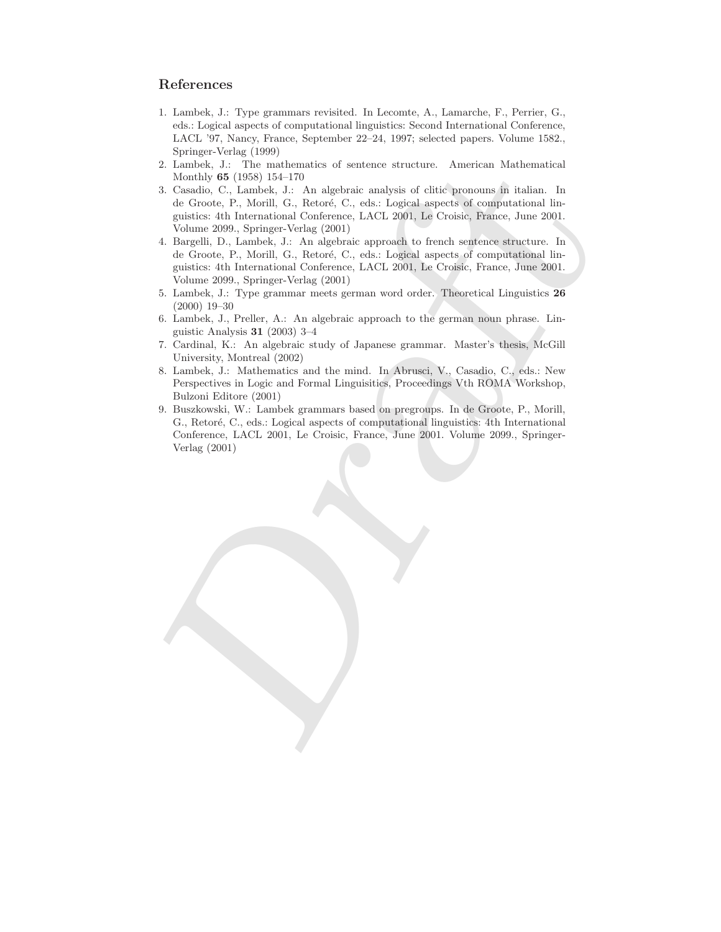## References

- 1. Lambek, J.: Type grammars revisited. In Lecomte, A., Lamarche, F., Perrier, G., eds.: Logical aspects of computational linguistics: Second International Conference, LACL '97, Nancy, France, September 22–24, 1997; selected papers. Volume 1582., Springer-Verlag (1999)
- 2. Lambek, J.: The mathematics of sentence structure. American Mathematical Monthly 65 (1958) 154–170
- 2. Lambek, J.: The mathematics of sentence structure. A<br>merican Mathematical 3. Casario, C., 1. Cas, and algorization and<br>yield context in Italian. In Growing, C., 1. Lambek, 2., 1. An algorization and<br>Context in Linear a 3. Casadio, C., Lambek, J.: An algebraic analysis of clitic pronouns in italian. In de Groote, P., Morill, G., Retoré, C., eds.: Logical aspects of computational linguistics: 4th International Conference, LACL 2001, Le Croisic, France, June 2001. Volume 2099., Springer-Verlag (2001)
	- 4. Bargelli, D., Lambek, J.: An algebraic approach to french sentence structure. In de Groote, P., Morill, G., Retoré, C., eds.: Logical aspects of computational linguistics: 4th International Conference, LACL 2001, Le Croisic, France, June 2001. Volume 2099., Springer-Verlag (2001)
	- 5. Lambek, J.: Type grammar meets german word order. Theoretical Linguistics 26 (2000) 19–30
	- 6. Lambek, J., Preller, A.: An algebraic approach to the german noun phrase. Linguistic Analysis 31 (2003) 3–4
	- 7. Cardinal, K.: An algebraic study of Japanese grammar. Master's thesis, McGill University, Montreal (2002)
	- 8. Lambek, J.: Mathematics and the mind. In Abrusci, V., Casadio, C., eds.: New Perspectives in Logic and Formal Linguisitics, Proceedings Vth ROMA Workshop, Bulzoni Editore (2001)
	- 9. Buszkowski, W.: Lambek grammars based on pregroups. In de Groote, P., Morill, G., Retoré, C., eds.: Logical aspects of computational linguistics: 4th International Conference, LACL 2001, Le Croisic, France, June 2001. Volume 2099., Springer-Verlag (2001)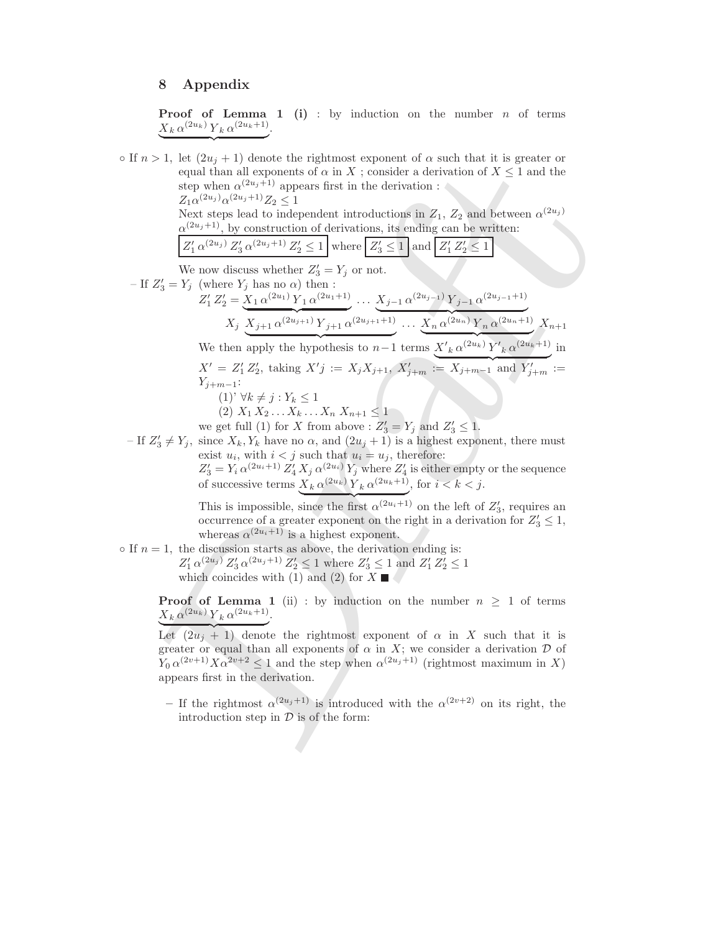### 8 Appendix

 $\overbrace{\hspace{1.5em}}$ 

**Proof of Lemma 1 (i)**: by induction on the number  $n$  of terms  $X_k \alpha^{(2u_k)} Y_k \alpha^{(2u_k+1)}$ .

2.1, et quay in a production and in a sign on the diffinite distinguish of the sign of the step when  $\alpha^{(2n+1)}$  appears from the derivation of  $X \leq 1$  and the step lead to independent introduction is  $E_A \propto 2$  and betwe  $\circ$  If  $n > 1$ , let  $(2u_j + 1)$  denote the rightmost exponent of  $\alpha$  such that it is greater or equal than all exponents of  $\alpha$  in X; consider a derivation of  $X \leq 1$  and the step when  $\alpha^{(2u_j+1)}$  appears first in the derivation :  $Z_1 \alpha^{(2u_j)} \alpha^{(2u_j+1)} Z_2 \leq 1$ Next steps lead to independent introductions in  $Z_1$ ,  $Z_2$  and between  $\alpha^{(2u_j)}$  $\alpha^{(2u_j+1)}$ , by construction of derivations, its ending can be written:  $Z'_1 \alpha^{(2u_j)} Z'_3 \alpha^{(2u_j+1)} Z'_2 \leq 1$  where  $Z'_3 \leq 1$  and  $Z'_1 Z'_2 \leq 1$ We now discuss whether  $Z'_3 = Y_j$  or not. – If  $Z'_3 = Y_j$  (where  $Y_j$  has no  $\alpha$ ) then :  $Z'_1 Z'_2 = X_1 \alpha^{(2u_1)} Y_1 \alpha^{(2u_1+1)}$  $\overbrace{\hspace{27mm}}^{(2n+1)}$ ...  $X_{j-1} \alpha^{(2u_{j-1})} Y_{j-1} \alpha^{(2u_{j-1}+1)}$  $X_j \overline{X_{j+1} \alpha^{(2u_{j+1})} Y_{j+1} \alpha^{(2u_{j+1}+1)}} \dots \overline{X_n} \alpha^{(2u_n)} Y_n \alpha^{(2u_n+1)}$ We then apply the hypothesis to  $n-1$  terms  $X'_{k} \alpha^{(2u_{k})} Y'_{k} \alpha^{(2u_{k}+1)}$  in  $\frac{1}{2}$   $\frac{1}{2}$   $\frac{1}{2}$   $\frac{1}{2}$   $\frac{1}{2}$   $\frac{1}{2}$   $\frac{1}{2}$   $\frac{1}{2}$   $\frac{1}{2}$   $\frac{1}{2}$   $\frac{1}{2}$   $\frac{1}{2}$   $\frac{1}{2}$   $\frac{1}{2}$   $\frac{1}{2}$   $\frac{1}{2}$   $\frac{1}{2}$   $\frac{1}{2}$   $\frac{1}{2}$   $\frac{1}{2}$   $\frac{1}{2}$   $\frac{1}{2}$   $X_{n+1}$  $X' = Z'_1 Z'_2$ , taking  $X'j := X_j X_{j+1}, X'_{j+m} := X_{j+m-1}$  and  $Y'_{j+m} :=$  $Y_{j+m-1}$ :  $(1)$ '  $\forall k \neq j : Y_k \leq 1$  $(2) X_1 X_2 \ldots X_k \ldots X_n X_{n+1} \leq 1$ we get full (1) for X from above :  $Z'_3 = Y_j$  and  $Z'_3 \leq 1$ . – If  $Z'_3 \neq Y_j$ , since  $X_k, Y_k$  have no  $\alpha$ , and  $(2u_j + 1)$  is a highest exponent, there must

exist  $u_i$ , with  $i < j$  such that  $u_i = u_j$ , therefore:  $Z'_3 = Y_i \alpha^{(2u_i+1)} Z'_4 X_j \alpha^{(2u_i)} Y_j$  where  $Z'_4$  is either empty or the sequence of successive terms  $X_k \alpha^{(2u_k)} Y_k \alpha^{(2u_k+1)}$ , for  $i < k < j$ .

This is impossible, since the first  $\alpha^{(2u_i+1)}$  on the left of  $Z'_3$ , requires an occurrence of a greater exponent on the right in a derivation for  $Z'_3 \leq 1$ , whereas  $\alpha^{(2u_i+1)}$  is a highest exponent.

 $\circ$  If  $n = 1$ , the discussion starts as above, the derivation ending is:  $Z'_1 \alpha^{(2u_j)} Z'_3 \alpha^{(2u_j+1)} Z'_2 \leq 1$  where  $Z'_3 \leq 1$  and  $Z'_1 Z'_2 \leq 1$ 

which coincides with (1) and (2) for  $X \square$ 

**Proof of Lemma 1** (ii) : by induction on the number  $n \geq 1$  of terms  $X_k \alpha^{(2u_k)} Y_k \alpha^{(2u_k+1)}$ .

Let  $(2u_j + 1)$  denote the rightmost exponent of  $\alpha$  in X such that it is greater or equal than all exponents of  $\alpha$  in X; we consider a derivation  $\mathcal D$  of  $Y_0 \alpha^{(2v+1)} X \alpha^{2v+2} \leq 1$  and the step when  $\alpha^{(2u_j+1)}$  (rightmost maximum in X) appears first in the derivation.

– If the rightmost  $\alpha^{(2u_j+1)}$  is introduced with the  $\alpha^{(2v+2)}$  on its right, the introduction step in  $\mathcal{D}$  is of the form: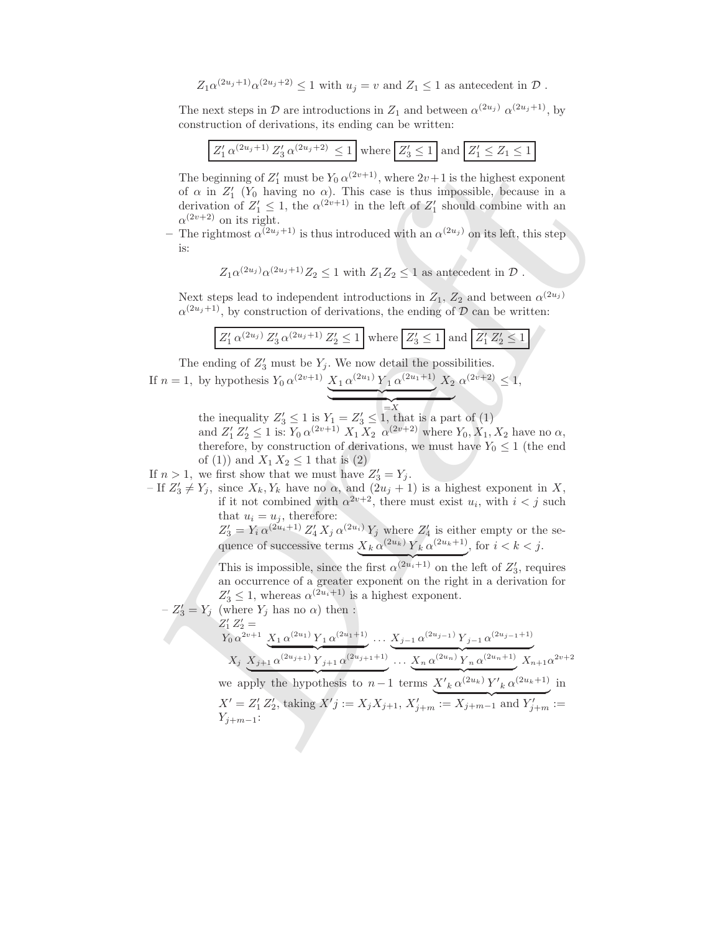$Z_1\alpha^{(2u_j+1)}\alpha^{(2u_j+2)} \leq 1$  with  $u_j = v$  and  $Z_1 \leq 1$  as antecedent in  $\mathcal{D}$ .

The next steps in  $\mathcal{D}$  are introductions in  $Z_1$  and between  $\alpha^{(2u_j)}$   $\alpha^{(2u_j+1)}$ , by construction of derivations, its ending can be written:

|  | $Z'_1 \alpha^{(2u_j+1)} Z'_3 \alpha^{(2u_j+2)} \leq 1 \text{ where } Z'_3 \leq 1 \text{ and } Z'_1 \leq Z_1 \leq 1$ |  |  |  |  |  |
|--|---------------------------------------------------------------------------------------------------------------------|--|--|--|--|--|
|--|---------------------------------------------------------------------------------------------------------------------|--|--|--|--|--|

The beginning of  $Z'_1$  must be  $Y_0 \alpha^{(2v+1)}$ , where  $2v+1$  is the highest exponent of  $\alpha$  in  $Z'_1$  ( $Y_0$  having no  $\alpha$ ). This case is thus impossible, because in a derivation of  $Z'_1 \leq 1$ , the  $\alpha^{(2v+1)}$  in the left of  $Z'_1$  should combine with an  $\alpha^{(2v+2)}$  on its right.

– The rightmost  $\alpha^{(2u_j+1)}$  is thus introduced with an  $\alpha^{(2u_j)}$  on its left, this step is:

$$
Z_1 \alpha^{(2u_j)} \alpha^{(2u_j+1)} Z_2 \le 1
$$
 with  $Z_1 Z_2 \le 1$  as antecedent in  $\mathcal{D}$ .

Next steps lead to independent introductions in  $Z_1$ ,  $Z_2$  and between  $\alpha^{(2u_j)}$  $\alpha^{(2u_j+1)}$ , by construction of derivations, the ending of D can be written:

| $Z'_1 \alpha^{(2u_j)} Z'_3 \alpha^{(2u_j+1)} Z'_2 \leq 1$ where $Z'_3 \leq 1$ and $Z'_1 Z'_2 \leq 1$ |
|------------------------------------------------------------------------------------------------------|
|------------------------------------------------------------------------------------------------------|

The ending of  $Z'_3$  must be  $Y_j$ . We now detail the possibilities.

If 
$$
n = 1
$$
, by hypothesis  $Y_0 \alpha^{(2v+1)} \underbrace{X_1 \alpha^{(2u_1)} Y_1 \alpha^{(2u_1+1)}}_{\sim} X_2 \alpha^{(2v+2)} \le 1$ ,

the inequality  $Z'_3 \leq 1$  is  $Y_1 = Z'_3 \leq 1$ , that is a part of (1) and  $Z'_1 Z'_2 \leq 1$  is:  $Y_0 \alpha^{(2v+1)} X_1 X_2 \alpha^{(2v+2)}$  where  $Y_0, X_1, X_2$  have no  $\alpha$ , therefore, by construction of derivations, we must have  $Y_0 \leq 1$  (the end of (1)) and  $X_1 X_2 \leq 1$  that is (2)

If  $n > 1$ , we first show that we must have  $Z'_3 = Y_j$ .

– If  $Z'_3 \neq Y_j$ , since  $X_k, Y_k$  have no  $\alpha$ , and  $(2u_j + 1)$  is a highest exponent in X, if it not combined with  $\alpha^{2v+2}$ , there must exist  $u_i$ , with  $i < j$  such that  $u_i = u_j$ , therefore:

 $Z'_3 = Y_i \alpha^{(2u_i+1)} Z'_4 X_j \alpha^{(2u_i)} Y_j$  where  $Z'_4$  is either empty or the sequence of successive terms  $X_k \alpha^{(2u_k)} Y_k \alpha^{(2u_k+1)}$ , for  $i < k < j$ .

This is impossible, since the first  $\alpha^{(2u_i+1)}$  on the left of  $Z'_3$ , requires an occurrence of a greater exponent on the right in a derivation for  $Z'_3 \leq 1$ , whereas  $\alpha^{(2u_i+1)}$  is a highest exponent.

The beginning of 
$$
Z'_1
$$
 must be  $Y_0 \alpha^{(2v+1)}$ , where  $2v+1$  is the highest exponent of  $\alpha$  in  $Z'_1$  ( $Y_0$  having no  $\alpha$ ). This case is thus impossible, because in a derivation of  $Z'_1 \leq 1$ , the  $\alpha^{(2v+1)}$  in the left of  $Z'_1$  should combine with an  $\alpha^{(2v+2)}$  on its left, this step is:\n\n
$$
Z_1 \alpha^{(2u,j)} \alpha^{(2u_j+1)} Z_2 \leq 1
$$
 with  $Z_1 Z_2 \leq 1$  as antecedent in  $\mathcal{D}$ .\n\nNext steps lead to independent introductions in  $Z_1$ ,  $Z_2$  and between  $\alpha^{(2u_j)}$   $\alpha^{(2u_j+1)}$ , by construction of derivations, the ending of  $\mathcal{D}$  can be written:\n\n
$$
Z'_1 \alpha^{(2u_j)} Z'_3 \alpha^{(2u_j+1)} Z'_2 \leq 1
$$
\n\nThe ending of  $Z'_3$  must be  $Y_j$ . We now detail the possibilities.\n\nIf  $n = 1$ , by hypothesis  $Y_0 \alpha^{(2v+1)} \underbrace{X_1 \alpha^{(2v_1)}} Y_1 \alpha^{(2v_1+1)} X_2 \alpha^{(2v+2)} \leq 1$ ,\n\nthe inequality  $Z'_3 \leq 1$  is  $Y_1 = Z'_3 \leq 1$ .\n\nThe ending of  $Z'_3$  must be  $Y_j$ . We now detail the possibilities.\n\nIf  $n = 1$ , by hypothesis  $Y_0 \alpha^{(2v+1)} \underbrace{X_1 \alpha^{(2v_1)}} Y_1 \alpha^{(2v_1+1)} X_2 \alpha^{(2v+2)} \leq 1$ ,\n\nthe inequality  $Z'_3 \leq 1$  is  $Y_1 = Z'_3 \leq 1$ .\n\nIf  $X_2 \beta^{(2v+2)}$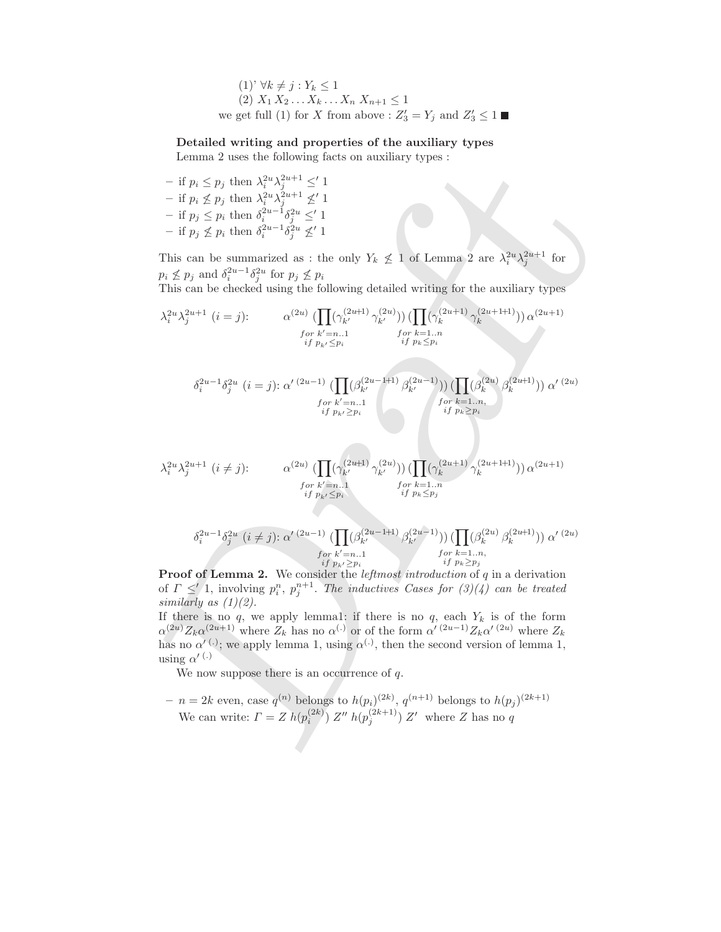(1)' 
$$
\forall k \neq j: Y_k \leq 1
$$
  
(2)  $X_1 X_2 \dots X_k \dots X_n X_{n+1} \leq 1$   
we get full (1) for X from above :  $Z'_3 = Y_j$  and  $Z'_3 \leq 1 \blacksquare$ 

#### Detailed writing and properties of the auxiliary types

Lemma 2 uses the following facts on auxiliary types :

- if  $p_i \leq p_j$  then  $\lambda_i^{2u} \lambda_j^{2u+1} \leq' 1$ - if  $p_i \nleq p_j$  then  $\lambda_i^{2u} \lambda_j^{2u+1} \nleq' 1$  $-$  if  $p_j ≤ p_i$  then  $\delta_i^{2u-1} \delta_j^{2u} ≤' 1$ − if  $p_j \nleq p_i$  then  $\delta_i^{2u-1} \delta_j^{2u} \nleq' 1$ 

This can be summarized as : the only  $Y_k \nleq 1$  of Lemma 2 are  $\lambda_i^{2u} \lambda_j^{2u+1}$  for  $p_i \nleq p_j$  and  $\delta_i^{2u-1} \delta_j^{2u}$  for  $p_j \nleq p_i$ 

This can be checked using the following detailed writing for the auxiliary types

Lemma 2 uses the following facts of auxiliary types.  
\n- if 
$$
p_i \leq p_j
$$
 then  $\lambda_i^{2n} \lambda_j^{2n+1} \leq 1$   
\n- if  $p_j \leq p_i$  then  $\lambda_i^{2n} \lambda_j^{2n+1} \leq 1$   
\n- if  $p_j \leq p_i$  then  $\lambda_i^{2n} \lambda_j^{2n+1} \leq 1$   
\nIf  $p_j \leq p_i$  then  $\delta_i^{2n-1} \delta_j^{2n} \leq 1$   
\nThis can be summarized as : the only  $Y_k \not\leq 1$  of Lemma 2 are  $\lambda_i^{2n} \lambda_j^{2n+1}$  for  $p_j \not\leq p_j$  and  $\delta_i^{2n-1} \delta_j^{2n}$  for  $p_j \not\leq p_i$   
\nThis can be summarized using the following detailed writing for the auxiliary types  
\n $\lambda_i^{2n} \lambda_j^{2n+1}$   $(i = j)$ :  
\n $\alpha^{(2n)} \left( \prod_{j} (\gamma_k^{(2n+1)} \gamma_k^{(2n)})) \prod_{j} (\Gamma(\gamma_k^{(2n+1)} \gamma_k^{(2n+1)})) \alpha^{(2n+1)} \right)$   
\n $\int_{i}^{2n} p_k \leq p_i$   
\n $\delta_i^{2n-1} \delta_j^{2n}$   $(i = j)$ :  
\n $\alpha^{(2n)} \left( \prod_{j} (\gamma_k^{(2n+1)} \gamma_k^{(2n-1)}) \right) \prod_{j} (\beta_k^{(2n+1)}) \alpha^{(2n+1)}$   
\n $\int_{i}^{i} p_k \leq p_i$   
\n $\delta_i^{2n-1} \delta_j^{2n}$   $(i = j)$ :  
\n $\alpha^{(2n)} \prod_{j} (\beta_k^{(2n-1)} \beta_k^{(2n-1)}) \prod_{j} (\beta_k^{(2n+1)}) \alpha^{(2n+1)}$   
\n $\int_{i}^{i} p_k \leq p_i$   
\n $\lambda_i^{2n} \lambda_j^{2n+1}$   $(i \neq j)$ :  
\n $\alpha^{(2n)} \prod_{j} (\gamma_k^{(2n+1)} \gamma_k^{(2n-1)}) \prod_{j} (\beta$ 

if  $p_{k'}{\geq}p_i$ **Proof of Lemma 2.** We consider the *leftmost introduction* of  $q$  in a derivation of  $\Gamma \leq 1$ , involving  $p_i^n$ ,  $p_j^{n+1}$ . The inductives Cases for  $(3)(4)$  can be treated similarly as  $(1)(2)$ .

If there is no q, we apply lemma1: if there is no q, each  $Y_k$  is of the form  $\alpha^{(2u)}Z_k\alpha^{(2u+1)}$  where  $Z_k$  has no  $\alpha^{(.)}$  or of the form  $\alpha^{'}{}^{(2u-1)}Z_k\alpha^{'}{}^{(2u)}$  where  $Z_k$ has no  $\alpha'$ <sup>(.)</sup>; we apply lemma 1, using  $\alpha^{(.)}$ , then the second version of lemma 1, using  $\alpha'$ <sup>(.)</sup>

We now suppose there is an occurrence of  $q$ .

 $-n=2k$  even, case  $q^{(n)}$  belongs to  $h(p_i)^{(2k)}$ ,  $q^{(n+1)}$  belongs to  $h(p_j)^{(2k+1)}$ We can write:  $\Gamma = Z h(p_i^{(2k)}) Z'' h(p_j^{(2k+1)}) Z'$  where Z has no q